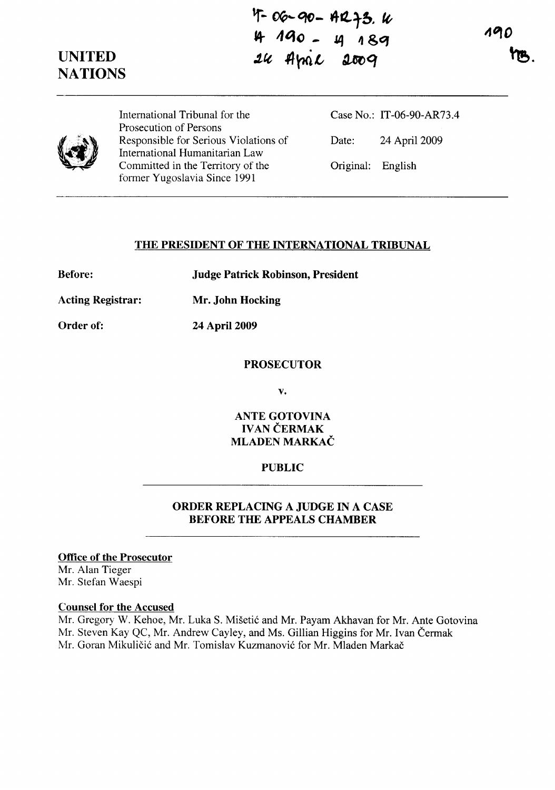**UNITED NATIONS**   $T - 00 - 90 - 412 + 3$ . W **tel- 4'10 - J4 ,,&q**  24 April 2009

196



International Tribunal for the Prosecution of Persons Responsible for Serious Violations of International Humanitarian Law Committed in the Territory of the former Yugoslavia Since 1991

Case No.: IT-06-90-AR73.4 Date: 24 April 2009 Original: English

#### **THE PRESIDENT OF THE INTERNATIONAL TRIBUNAL**

**Before: Judge Patrick Robinson, President** 

**Acting Registrar: Mr. John Hocking** 

**Order of: 24 April 2009** 

#### **PROSECUTOR**

**v.** 

**ANTE GOTOVINA IVAN ČERMAK MLADEN MARKAC** 

# **PUBLIC**

# **ORDER REPLACING A JUDGE IN A CASE BEFORE THE APPEALS CHAMBER**

# **Office of the Prosecutor**

Mr. Alan Tieger Mr. Stefan Waespi

#### **Counsel for the Accused**

Mr. Gregory W. Kehoe, Mr. Luka S. Misetic and Mr. Payam Akhavan for Mr. Ante Gotovina Mr. Steven Kay QC, Mr. Andrew Cayley, and Ms. Gillian Higgins for Mr. Ivan Čermak Mr. Goran Mikuličić and Mr. Tomislav Kuzmanović for Mr. Mladen Markač